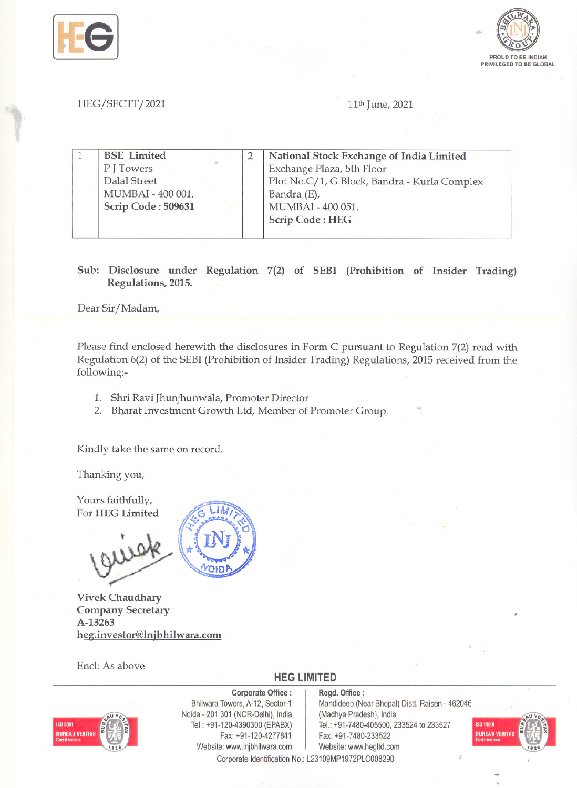



HEG/SECTT/2021 11<sup>th</sup> June, 2021

1 BSE Limited PJ Towers 1 BSE Limited 2 2 | National Stock P J Towers<br>Dalal Street Exchange Plaza, 5th Floor Plot No.C/1, G Block, Bandra - Kurla Complex MUMBAI - 400 001. Bandra (E), Scrip Code: 509631 MUMBAI - 400 051. **Scrip Code: HEG** 

> Sub: Disclosure under Regulation 7(2) of SEBI (Prohibition of Insider Trading) Regulations, 2015.

Dear Sir/Madam,

Please find enclosed herewith the disclosures in Form C pursuant to Regulation 7(2) read with Regulation 6(2) of the SEBI (Prohibition of Insider Trading) Regulations, 2015 received from the following:-

- 1. Shri Ravi Jhunjhunwala, Promoter Director
- 2. Bharat Investment Growth Ltd, Member of Promoter Group.

Kindly take the same on record.

Thanking you,

Yours faithfully, For HEG Limited



Vivek Chaudhary Company Secretary A-13263 heg.investor@lnjbhilwara.com

Encl: As above



Corporate Office: Regd. Office:<br>Bhilwara Towers, A-12, Sector-1 Mandideep (Ne Noida -201 301 (NCR-Delhi), India (Madhya Pradesh), India Fax: +91-120-4277841 Fax: +91-7480-233522 Website: www.lnjbhilwara.com | Website: www.hegltd.com

Mandideep (Near Bhopal) Distt. Raisen - 462046 Tel.: +91-120-4390300 (EPABX) Tel.: +91-7480-405500, 233524 to 233527



Corporate Identification No.: L23109MP1972PLC008290

**HEG LIMITED**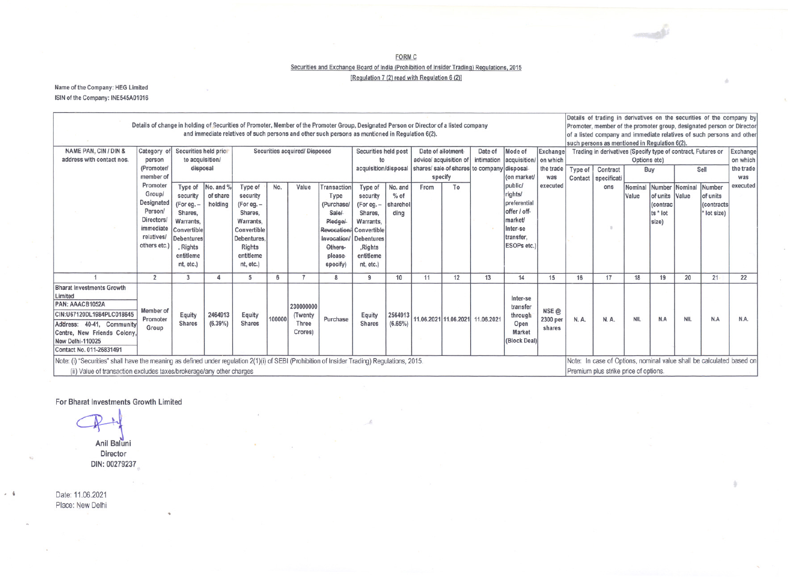FORM C

Securities and Exchange Board of India (Prohibition of Insider Trading) Regulations, 2015

[Regulation 7 (2) read with Regulation  $6$  (2)]

Name of the Company: HEG Limited ISIN of the Company: INE545A01016

| Details of change in holding of Securities of Promoter, Member of the Promoter Group, Designated Person or Director of a listed company<br>and immediate relatives of such persons and other such persons as mentioned in Regulation 6(2).<br>NAME PAN, CIN / DIN &<br>Category of Securities held prio<br>Date of allotment-<br>Date of Mode of |                       |                           |                   |                               |       |              |                      |                                                                 |                        |                                          |    |                                       |                                                                                                              | Details of trading in derivatives on the securities of the company by<br>Promoter, member of the promoter group, designated person or Director<br>of a listed company and immediate relatives of such persons and other<br>such persons as mentioned in Regulation 6(2). |                                |               |            |                |                               |                 |  |
|--------------------------------------------------------------------------------------------------------------------------------------------------------------------------------------------------------------------------------------------------------------------------------------------------------------------------------------------------|-----------------------|---------------------------|-------------------|-------------------------------|-------|--------------|----------------------|-----------------------------------------------------------------|------------------------|------------------------------------------|----|---------------------------------------|--------------------------------------------------------------------------------------------------------------|--------------------------------------------------------------------------------------------------------------------------------------------------------------------------------------------------------------------------------------------------------------------------|--------------------------------|---------------|------------|----------------|-------------------------------|-----------------|--|
| address with contact nos.                                                                                                                                                                                                                                                                                                                        |                       | to acquisition/<br>person |                   | Securities acquired/ Disposed |       |              | Securities held post |                                                                 | advice/ acquisition of |                                          |    | intimation   acquisition /   on which | Exchange                                                                                                     | Trading in derivatives (Specify type of contract, Futures or   Exchange<br>Options etc)<br>on which                                                                                                                                                                      |                                |               |            |                |                               |                 |  |
|                                                                                                                                                                                                                                                                                                                                                  | (Promote              |                           | disposal          |                               |       |              |                      | acquisition/disposal shares/ sale of shares to company disposal |                        |                                          |    |                                       |                                                                                                              |                                                                                                                                                                                                                                                                          |                                |               |            |                |                               |                 |  |
|                                                                                                                                                                                                                                                                                                                                                  | member o              |                           |                   |                               |       |              |                      |                                                                 |                        |                                          |    |                                       |                                                                                                              |                                                                                                                                                                                                                                                                          | the trade   Type of   Contract |               | Buy        |                | Sell                          | the trade       |  |
|                                                                                                                                                                                                                                                                                                                                                  | Promoter              |                           |                   |                               |       |              |                      |                                                                 |                        | specify                                  |    |                                       | (on market/<br>public/                                                                                       | was<br>executed                                                                                                                                                                                                                                                          | Contact   specificati          |               |            |                |                               | was<br>executed |  |
|                                                                                                                                                                                                                                                                                                                                                  | Group/                |                           |                   | Type of No. and % Type of No. |       | Value        |                      | Transaction Type of No. and                                     |                        | From                                     | To |                                       | rights/                                                                                                      |                                                                                                                                                                                                                                                                          |                                | ons           |            |                | Nominal Number Nominal Number |                 |  |
|                                                                                                                                                                                                                                                                                                                                                  |                       |                           | security of share | security                      |       |              | Type                 | security                                                        | $%$ of                 |                                          |    |                                       | preferenti                                                                                                   |                                                                                                                                                                                                                                                                          |                                |               | Value      | of units Value | of units                      |                 |  |
|                                                                                                                                                                                                                                                                                                                                                  | Designated<br>Person/ | (For eg. -                | holding           | (For eg. -                    |       |              | (Purchase/           | (For eg. -                                                      | sharehol               |                                          |    |                                       | offer / off-                                                                                                 |                                                                                                                                                                                                                                                                          |                                |               |            | (contrad       |                               | (contracts      |  |
|                                                                                                                                                                                                                                                                                                                                                  | Directors/            | Shares,                   |                   | Shares.                       |       |              | Sale/                | Shares.                                                         | dina                   |                                          |    |                                       | <i>market/</i>                                                                                               |                                                                                                                                                                                                                                                                          |                                |               |            | ts * lot       |                               | * lot size)     |  |
|                                                                                                                                                                                                                                                                                                                                                  | immediate             | Warrants.                 |                   | Warrants.                     |       |              | Pledge/              | Warrants.                                                       |                        |                                          |    |                                       | Inter-se                                                                                                     |                                                                                                                                                                                                                                                                          |                                | $\rightarrow$ |            | size)          |                               |                 |  |
|                                                                                                                                                                                                                                                                                                                                                  | relatives/            | Convertible               |                   | Convertible                   |       |              |                      | Revocation/ Convertible                                         |                        |                                          |    |                                       | transfer                                                                                                     |                                                                                                                                                                                                                                                                          |                                |               |            |                |                               |                 |  |
|                                                                                                                                                                                                                                                                                                                                                  |                       | Debentures                |                   | Debentures                    |       |              |                      | Invocation/ Debentures                                          |                        |                                          |    |                                       | ESOPs etc.)                                                                                                  |                                                                                                                                                                                                                                                                          |                                |               |            |                |                               |                 |  |
|                                                                                                                                                                                                                                                                                                                                                  | others etc.)          | , Rights                  |                   | <b>Rights</b>                 |       |              | Others-              | ,Rights                                                         |                        |                                          |    |                                       |                                                                                                              |                                                                                                                                                                                                                                                                          |                                |               |            |                |                               |                 |  |
|                                                                                                                                                                                                                                                                                                                                                  |                       | entitleme                 |                   | entitleme                     |       |              | please               | entitleme                                                       |                        |                                          |    |                                       |                                                                                                              |                                                                                                                                                                                                                                                                          |                                |               |            |                |                               |                 |  |
|                                                                                                                                                                                                                                                                                                                                                  |                       | nt, etc.                  |                   | nt. etc.)                     |       |              | specify)             | nt, etc.)                                                       |                        |                                          |    |                                       |                                                                                                              |                                                                                                                                                                                                                                                                          |                                |               |            |                |                               |                 |  |
|                                                                                                                                                                                                                                                                                                                                                  |                       |                           |                   | $\sqrt{2}$                    |       |              |                      |                                                                 | 10                     | 11                                       | 12 | 13                                    |                                                                                                              | 15                                                                                                                                                                                                                                                                       | 16                             | 17            | 18         | 19             | 20                            | 22              |  |
| <b>Bharat Investments Growth</b>                                                                                                                                                                                                                                                                                                                 |                       |                           |                   |                               |       |              |                      |                                                                 |                        |                                          |    |                                       |                                                                                                              |                                                                                                                                                                                                                                                                          |                                |               |            |                |                               |                 |  |
|                                                                                                                                                                                                                                                                                                                                                  |                       |                           |                   |                               |       |              |                      |                                                                 |                        |                                          |    |                                       | Inter-se                                                                                                     |                                                                                                                                                                                                                                                                          |                                |               |            |                |                               |                 |  |
| PAN: AAACB1052A                                                                                                                                                                                                                                                                                                                                  |                       |                           |                   |                               |       | 230000000    |                      |                                                                 |                        |                                          |    |                                       | transfer                                                                                                     |                                                                                                                                                                                                                                                                          |                                |               |            |                |                               |                 |  |
| CIN:U67120DL1984PLC018645                                                                                                                                                                                                                                                                                                                        | Member                | Equity                    | 2464913           | Equity                        |       | (Twenty      |                      | Equity                                                          |                        |                                          |    |                                       | through                                                                                                      | NSE <sub>@</sub>                                                                                                                                                                                                                                                         |                                |               |            |                |                               |                 |  |
| Address: 40-41, Community                                                                                                                                                                                                                                                                                                                        | Promoter              | Shares                    | $(6.39\%)$        | <b>Shares</b>                 | 10000 | <b>Three</b> | Purchase             | <b>Shares</b>                                                   | (6.65%)                | 2564913 11.06.2021 11.06.2021 11.06.2021 |    |                                       | Open                                                                                                         | 2300 per                                                                                                                                                                                                                                                                 | <b>N.A.</b>                    | N. A.         | <b>NIL</b> | N.A            | <b>NIL</b>                    | N.A.<br>N.A     |  |
| Centre, New Friends Colony                                                                                                                                                                                                                                                                                                                       | Group                 |                           |                   |                               |       | Crores)      |                      |                                                                 |                        |                                          |    |                                       | Market                                                                                                       | shares                                                                                                                                                                                                                                                                   |                                |               |            |                |                               |                 |  |
| New Delhi-110025                                                                                                                                                                                                                                                                                                                                 |                       |                           |                   |                               |       |              |                      |                                                                 |                        |                                          |    |                                       | (Block Deal)                                                                                                 |                                                                                                                                                                                                                                                                          |                                |               |            |                |                               |                 |  |
| Contact No. 011-26831491                                                                                                                                                                                                                                                                                                                         |                       |                           |                   |                               |       |              |                      |                                                                 |                        |                                          |    |                                       |                                                                                                              |                                                                                                                                                                                                                                                                          |                                |               |            |                |                               |                 |  |
|                                                                                                                                                                                                                                                                                                                                                  |                       |                           |                   |                               |       |              |                      |                                                                 |                        |                                          |    |                                       |                                                                                                              |                                                                                                                                                                                                                                                                          |                                |               |            |                |                               |                 |  |
| Note: (i) "Securities" shall have the meaning as defined under regulation 2(1)(i) of SEBI (Prohibition of Insider Trading) Regulations, 2015.<br>(ii) Value of transaction excludes taxes/brokerage/any other charges                                                                                                                            |                       |                           |                   |                               |       |              |                      |                                                                 |                        |                                          |    |                                       | Note: In case of Options, nominal value shall be calculated based o<br>Premium plus strike price of options. |                                                                                                                                                                                                                                                                          |                                |               |            |                |                               |                 |  |
|                                                                                                                                                                                                                                                                                                                                                  |                       |                           |                   |                               |       |              |                      |                                                                 |                        |                                          |    |                                       |                                                                                                              |                                                                                                                                                                                                                                                                          |                                |               |            |                |                               |                 |  |

For Bharat Investments Growth Limited

Anil Baluni Director DIN: 00279237

Date: 11.06.2021 Place: New Delhi

. ,